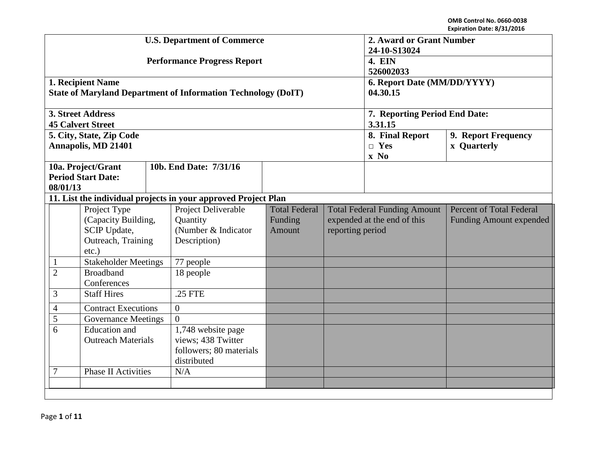|                                              |                |                                                      |          | <b>U.S. Department of Commerce</b>                                   | 2. Award or Grant Number<br>24-10-S13024 |                                                      |                                                   |                                 |  |
|----------------------------------------------|----------------|------------------------------------------------------|----------|----------------------------------------------------------------------|------------------------------------------|------------------------------------------------------|---------------------------------------------------|---------------------------------|--|
|                                              |                |                                                      |          | <b>Performance Progress Report</b>                                   | 4. EIN                                   |                                                      |                                                   |                                 |  |
|                                              |                | 1. Recipient Name                                    |          | <b>State of Maryland Department of Information Technology (DoIT)</b> |                                          | 526002033<br>6. Report Date (MM/DD/YYYY)<br>04.30.15 |                                                   |                                 |  |
|                                              |                |                                                      |          |                                                                      |                                          |                                                      |                                                   |                                 |  |
|                                              |                | 3. Street Address                                    |          |                                                                      |                                          | 7. Reporting Period End Date:                        |                                                   |                                 |  |
|                                              |                | <b>45 Calvert Street</b><br>5. City, State, Zip Code |          |                                                                      |                                          |                                                      | 3.31.15<br>8. Final Report<br>9. Report Frequency |                                 |  |
|                                              |                | <b>Annapolis, MD 21401</b>                           |          |                                                                      |                                          |                                                      | $\Box$ Yes                                        | <b>x</b> Quarterly              |  |
|                                              |                |                                                      |          |                                                                      |                                          |                                                      | $x \ No$                                          |                                 |  |
|                                              |                | 10a. Project/Grant                                   |          | 10b. End Date: 7/31/16                                               |                                          |                                                      |                                                   |                                 |  |
|                                              | 08/01/13       | <b>Period Start Date:</b>                            |          |                                                                      |                                          |                                                      |                                                   |                                 |  |
|                                              |                |                                                      |          | 11. List the individual projects in your approved Project Plan       |                                          |                                                      |                                                   |                                 |  |
|                                              |                | Project Type                                         |          | Project Deliverable                                                  | <b>Total Federal</b>                     | <b>Total Federal Funding Amount</b>                  |                                                   | <b>Percent of Total Federal</b> |  |
| (Capacity Building,                          |                |                                                      | Quantity | Funding                                                              | expended at the end of this              |                                                      | <b>Funding Amount expended</b>                    |                                 |  |
|                                              |                | SCIP Update,                                         |          | (Number & Indicator                                                  | Amount                                   | reporting period                                     |                                                   |                                 |  |
|                                              |                | Outreach, Training                                   |          | Description)                                                         |                                          |                                                      |                                                   |                                 |  |
|                                              |                | $etc.$ )                                             |          |                                                                      |                                          |                                                      |                                                   |                                 |  |
| <b>Stakeholder Meetings</b><br>1             |                | 77 people                                            |          |                                                                      |                                          |                                                      |                                                   |                                 |  |
|                                              | $\overline{2}$ | <b>Broadband</b>                                     |          | 18 people                                                            |                                          |                                                      |                                                   |                                 |  |
|                                              |                | Conferences<br><b>Staff Hires</b>                    |          | .25 FTE                                                              |                                          |                                                      |                                                   |                                 |  |
| 3                                            |                |                                                      |          |                                                                      |                                          |                                                      |                                                   |                                 |  |
| <b>Contract Executions</b><br>$\overline{4}$ |                | $\overline{0}$                                       |          |                                                                      |                                          |                                                      |                                                   |                                 |  |
| 5<br><b>Governance Meetings</b>              |                | $\Omega$                                             |          |                                                                      |                                          |                                                      |                                                   |                                 |  |
| <b>Education</b> and<br>6                    |                | 1,748 website page                                   |          |                                                                      |                                          |                                                      |                                                   |                                 |  |
|                                              |                | <b>Outreach Materials</b>                            |          | views; 438 Twitter                                                   |                                          |                                                      |                                                   |                                 |  |
| followers; 80 materials<br>distributed       |                |                                                      |          |                                                                      |                                          |                                                      |                                                   |                                 |  |
| <b>Phase II Activities</b><br>7              |                | N/A                                                  |          |                                                                      |                                          |                                                      |                                                   |                                 |  |
|                                              |                |                                                      |          |                                                                      |                                          |                                                      |                                                   |                                 |  |
|                                              |                |                                                      |          |                                                                      |                                          |                                                      |                                                   |                                 |  |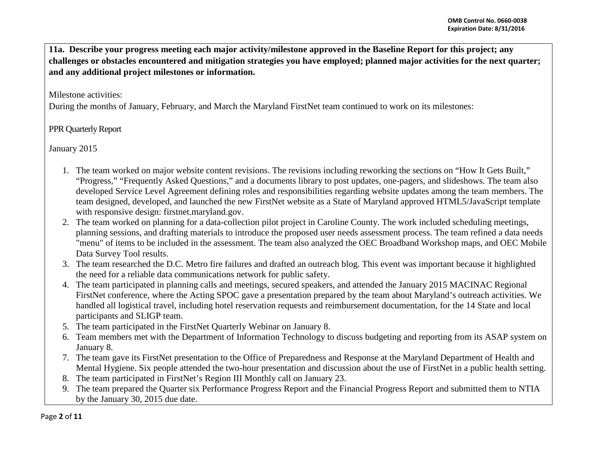**11a. Describe your progress meeting each major activity/milestone approved in the Baseline Report for this project; any challenges or obstacles encountered and mitigation strategies you have employed; planned major activities for the next quarter; and any additional project milestones or information.**

#### Milestone activities:

During the months of January, February, and March the Maryland FirstNet team continued to work on its milestones:

## PPR Quarterly Report

January 2015

- 1. The team worked on major website content revisions. The revisions including reworking the sections on "How It Gets Built," "Progress," "Frequently Asked Questions," and a documents library to post updates, one-pagers, and slideshows. The team also developed Service Level Agreement defining roles and responsibilities regarding website updates among the team members. The team designed, developed, and launched the new FirstNet website as a State of Maryland approved HTML5/JavaScript template with responsive design: firstnet.maryland.gov.
- 2. The team worked on planning for a data-collection pilot project in Caroline County. The work included scheduling meetings, planning sessions, and drafting materials to introduce the proposed user needs assessment process. The team refined a data needs "menu" of items to be included in the assessment. The team also analyzed the OEC Broadband Workshop maps, and OEC Mobile Data Survey Tool results.
- 3. The team researched the D.C. Metro fire failures and drafted an outreach blog. This event was important because it highlighted the need for a reliable data communications network for public safety.
- 4. The team participated in planning calls and meetings, secured speakers, and attended the January 2015 MACINAC Regional FirstNet conference, where the Acting SPOC gave a presentation prepared by the team about Maryland's outreach activities. We handled all logistical travel, including hotel reservation requests and reimbursement documentation, for the 14 State and local participants and SLIGP team.
- 5. The team participated in the FirstNet Quarterly Webinar on January 8.
- 6. Team members met with the Department of Information Technology to discuss budgeting and reporting from its ASAP system on January 8.
- 7. The team gave its FirstNet presentation to the Office of Preparedness and Response at the Maryland Department of Health and Mental Hygiene. Six people attended the two-hour presentation and discussion about the use of FirstNet in a public health setting.
- 8. The team participated in FirstNet's Region III Monthly call on January 23.
- 9. The team prepared the Quarter six Performance Progress Report and the Financial Progress Report and submitted them to NTIA by the January 30, 2015 due date.

Page **2** of **11**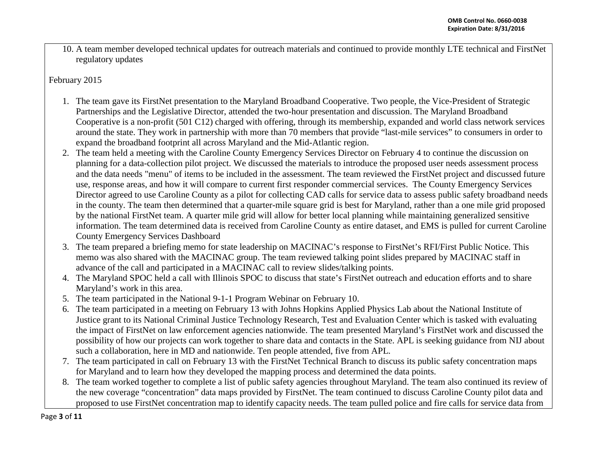10. A team member developed technical updates for outreach materials and continued to provide monthly LTE technical and FirstNet regulatory updates

February 2015

- 1. The team gave its FirstNet presentation to the Maryland Broadband Cooperative. Two people, the Vice-President of Strategic Partnerships and the Legislative Director, attended the two-hour presentation and discussion. The Maryland Broadband Cooperative is a non-profit (501 C12) charged with offering, through its membership, expanded and world class network services around the state. They work in partnership with more than 70 members that provide "last-mile services" to consumers in order to expand the broadband footprint all across Maryland and the Mid-Atlantic region.
- 2. The team held a meeting with the Caroline County Emergency Services Director on February 4 to continue the discussion on planning for a data-collection pilot project. We discussed the materials to introduce the proposed user needs assessment process and the data needs "menu" of items to be included in the assessment. The team reviewed the FirstNet project and discussed future use, response areas, and how it will compare to current first responder commercial services. The County Emergency Services Director agreed to use Caroline County as a pilot for collecting CAD calls for service data to assess public safety broadband needs in the county. The team then determined that a quarter-mile square grid is best for Maryland, rather than a one mile grid proposed by the national FirstNet team. A quarter mile grid will allow for better local planning while maintaining generalized sensitive information. The team determined data is received from Caroline County as entire dataset, and EMS is pulled for current Caroline County Emergency Services Dashboard
- 3. The team prepared a briefing memo for state leadership on MACINAC's response to FirstNet's RFI/First Public Notice. This memo was also shared with the MACINAC group. The team reviewed talking point slides prepared by MACINAC staff in advance of the call and participated in a MACINAC call to review slides/talking points.
- 4. The Maryland SPOC held a call with Illinois SPOC to discuss that state's FirstNet outreach and education efforts and to share Maryland's work in this area.
- 5. The team participated in the National 9-1-1 Program Webinar on February 10.
- 6. The team participated in a meeting on February 13 with Johns Hopkins Applied Physics Lab about the National Institute of Justice grant to its National Criminal Justice Technology Research, Test and Evaluation Center which is tasked with evaluating the impact of FirstNet on law enforcement agencies nationwide. The team presented Maryland's FirstNet work and discussed the possibility of how our projects can work together to share data and contacts in the State. APL is seeking guidance from NIJ about such a collaboration, here in MD and nationwide. Ten people attended, five from APL.
- 7. The team participated in call on February 13 with the FirstNet Technical Branch to discuss its public safety concentration maps for Maryland and to learn how they developed the mapping process and determined the data points.
- 8. The team worked together to complete a list of public safety agencies throughout Maryland. The team also continued its review of the new coverage "concentration" data maps provided by FirstNet. The team continued to discuss Caroline County pilot data and proposed to use FirstNet concentration map to identify capacity needs. The team pulled police and fire calls for service data from

Page **3** of **11**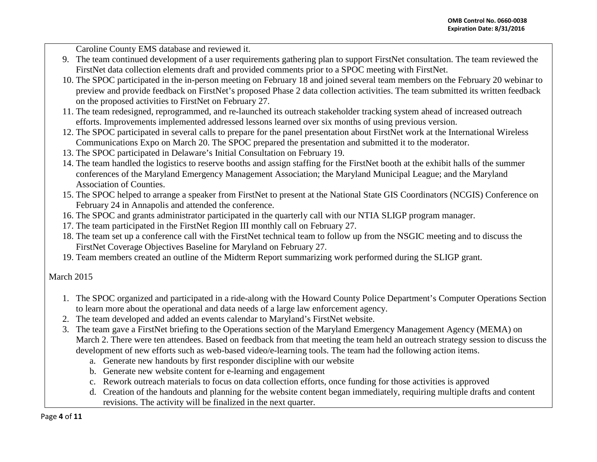Caroline County EMS database and reviewed it.

- 9. The team continued development of a user requirements gathering plan to support FirstNet consultation. The team reviewed the FirstNet data collection elements draft and provided comments prior to a SPOC meeting with FirstNet.
- 10. The SPOC participated in the in-person meeting on February 18 and joined several team members on the February 20 webinar to preview and provide feedback on FirstNet's proposed Phase 2 data collection activities. The team submitted its written feedback on the proposed activities to FirstNet on February 27.
- 11. The team redesigned, reprogrammed, and re-launched its outreach stakeholder tracking system ahead of increased outreach efforts. Improvements implemented addressed lessons learned over six months of using previous version.
- 12. The SPOC participated in several calls to prepare for the panel presentation about FirstNet work at the International Wireless Communications Expo on March 20. The SPOC prepared the presentation and submitted it to the moderator.
- 13. The SPOC participated in Delaware's Initial Consultation on February 19.
- 14. The team handled the logistics to reserve booths and assign staffing for the FirstNet booth at the exhibit halls of the summer conferences of the Maryland Emergency Management Association; the Maryland Municipal League; and the Maryland Association of Counties.
- 15. The SPOC helped to arrange a speaker from FirstNet to present at the National State GIS Coordinators (NCGIS) Conference on February 24 in Annapolis and attended the conference.
- 16. The SPOC and grants administrator participated in the quarterly call with our NTIA SLIGP program manager.
- 17. The team participated in the FirstNet Region III monthly call on February 27.
- 18. The team set up a conference call with the FirstNet technical team to follow up from the NSGIC meeting and to discuss the FirstNet Coverage Objectives Baseline for Maryland on February 27.
- 19. Team members created an outline of the Midterm Report summarizing work performed during the SLIGP grant.

March 2015

- 1. The SPOC organized and participated in a ride-along with the Howard County Police Department's Computer Operations Section to learn more about the operational and data needs of a large law enforcement agency.
- 2. The team developed and added an events calendar to Maryland's FirstNet website.
- 3. The team gave a FirstNet briefing to the Operations section of the Maryland Emergency Management Agency (MEMA) on March 2. There were ten attendees. Based on feedback from that meeting the team held an outreach strategy session to discuss the development of new efforts such as web-based video/e-learning tools. The team had the following action items.
	- a. Generate new handouts by first responder discipline with our website
	- b. Generate new website content for e-learning and engagement
	- c. Rework outreach materials to focus on data collection efforts, once funding for those activities is approved
	- d. Creation of the handouts and planning for the website content began immediately, requiring multiple drafts and content revisions. The activity will be finalized in the next quarter.

Page **4** of **11**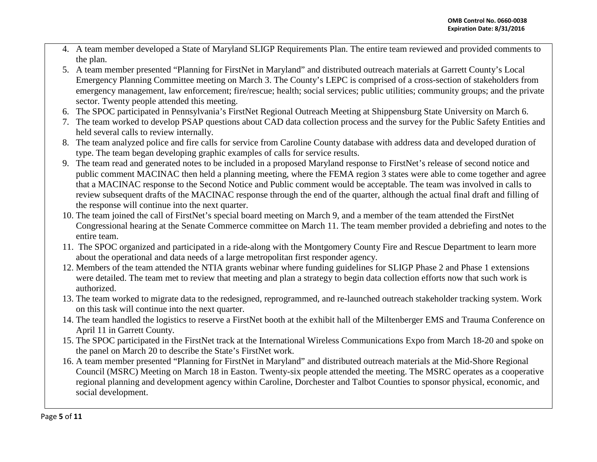- 4. A team member developed a State of Maryland SLIGP Requirements Plan. The entire team reviewed and provided comments to the plan.
- 5. A team member presented "Planning for FirstNet in Maryland" and distributed outreach materials at Garrett County's Local Emergency Planning Committee meeting on March 3. The County's LEPC is comprised of a cross-section of stakeholders from emergency management, law enforcement; fire/rescue; health; social services; public utilities; community groups; and the private sector. Twenty people attended this meeting.
- 6. The SPOC participated in Pennsylvania's FirstNet Regional Outreach Meeting at Shippensburg State University on March 6.
- 7. The team worked to develop PSAP questions about CAD data collection process and the survey for the Public Safety Entities and held several calls to review internally.
- 8. The team analyzed police and fire calls for service from Caroline County database with address data and developed duration of type. The team began developing graphic examples of calls for service results.
- 9. The team read and generated notes to be included in a proposed Maryland response to FirstNet's release of second notice and public comment MACINAC then held a planning meeting, where the FEMA region 3 states were able to come together and agree that a MACINAC response to the Second Notice and Public comment would be acceptable. The team was involved in calls to review subsequent drafts of the MACINAC response through the end of the quarter, although the actual final draft and filling of the response will continue into the next quarter.
- 10. The team joined the call of FirstNet's special board meeting on March 9, and a member of the team attended the FirstNet Congressional hearing at the Senate Commerce committee on March 11. The team member provided a debriefing and notes to the entire team.
- 11. The SPOC organized and participated in a ride-along with the Montgomery County Fire and Rescue Department to learn more about the operational and data needs of a large metropolitan first responder agency.
- 12. Members of the team attended the NTIA grants webinar where funding guidelines for SLIGP Phase 2 and Phase 1 extensions were detailed. The team met to review that meeting and plan a strategy to begin data collection efforts now that such work is authorized.
- 13. The team worked to migrate data to the redesigned, reprogrammed, and re-launched outreach stakeholder tracking system. Work on this task will continue into the next quarter.
- 14. The team handled the logistics to reserve a FirstNet booth at the exhibit hall of the Miltenberger EMS and Trauma Conference on April 11 in Garrett County.
- 15. The SPOC participated in the FirstNet track at the International Wireless Communications Expo from March 18-20 and spoke on the panel on March 20 to describe the State's FirstNet work.
- 16. A team member presented "Planning for FirstNet in Maryland" and distributed outreach materials at the Mid-Shore Regional Council (MSRC) Meeting on March 18 in Easton. Twenty-six people attended the meeting. The MSRC operates as a cooperative regional planning and development agency within Caroline, Dorchester and Talbot Counties to sponsor physical, economic, and social development.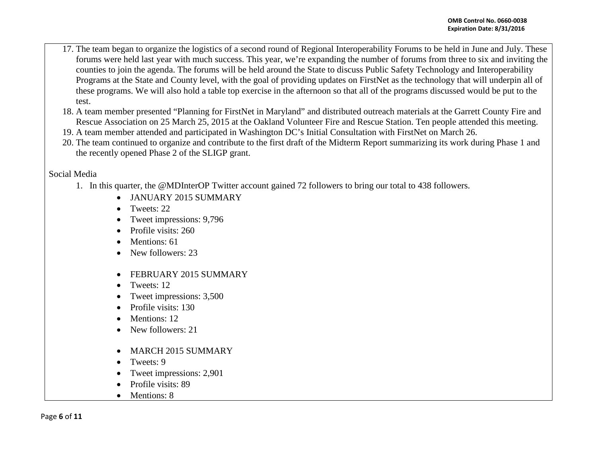- 17. The team began to organize the logistics of a second round of Regional Interoperability Forums to be held in June and July. These forums were held last year with much success. This year, we're expanding the number of forums from three to six and inviting the counties to join the agenda. The forums will be held around the State to discuss Public Safety Technology and Interoperability Programs at the State and County level, with the goal of providing updates on FirstNet as the technology that will underpin all of these programs. We will also hold a table top exercise in the afternoon so that all of the programs discussed would be put to the test.
- 18. A team member presented "Planning for FirstNet in Maryland" and distributed outreach materials at the Garrett County Fire and Rescue Association on 25 March 25, 2015 at the Oakland Volunteer Fire and Rescue Station. Ten people attended this meeting.
- 19. A team member attended and participated in Washington DC's Initial Consultation with FirstNet on March 26.
- 20. The team continued to organize and contribute to the first draft of the Midterm Report summarizing its work during Phase 1 and the recently opened Phase 2 of the SLIGP grant.

## Social Media

- 1. In this quarter, the @MDInterOP Twitter account gained 72 followers to bring our total to 438 followers.
	- JANUARY 2015 SUMMARY
	- Tweets: 22
	- Tweet impressions: 9,796
	- Profile visits: 260
	- Mentions: 61
	- New followers: 23
	- FEBRUARY 2015 SUMMARY
	- Tweets: 12
	- Tweet impressions: 3,500
	- Profile visits: 130
	- Mentions: 12
	- New followers: 21
	- MARCH 2015 SUMMARY
	- Tweets: 9
	- Tweet impressions: 2,901
	- Profile visits: 89
	- Mentions: 8

Page **6** of **11**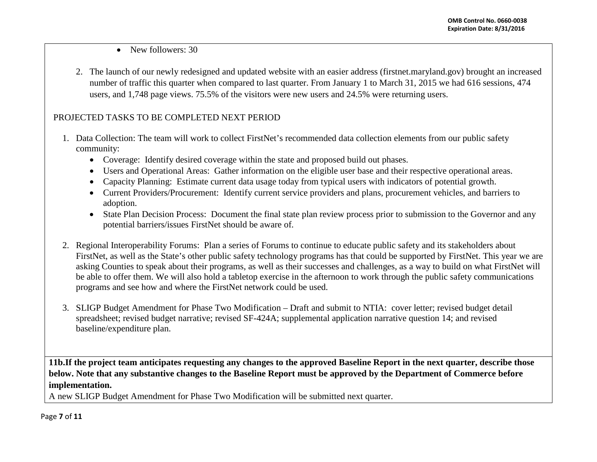• New followers: 30

2. The launch of our newly redesigned and updated website with an easier address (firstnet.maryland.gov) brought an increased number of traffic this quarter when compared to last quarter. From January 1 to March 31, 2015 we had 616 sessions, 474 users, and 1,748 page views. 75.5% of the visitors were new users and 24.5% were returning users.

# PROJECTED TASKS TO BE COMPLETED NEXT PERIOD

- 1. Data Collection: The team will work to collect FirstNet's recommended data collection elements from our public safety community:
	- Coverage: Identify desired coverage within the state and proposed build out phases.
	- Users and Operational Areas: Gather information on the eligible user base and their respective operational areas.
	- Capacity Planning: Estimate current data usage today from typical users with indicators of potential growth.
	- Current Providers/Procurement: Identify current service providers and plans, procurement vehicles, and barriers to adoption.
	- State Plan Decision Process: Document the final state plan review process prior to submission to the Governor and any potential barriers/issues FirstNet should be aware of.
- 2. Regional Interoperability Forums: Plan a series of Forums to continue to educate public safety and its stakeholders about FirstNet, as well as the State's other public safety technology programs has that could be supported by FirstNet. This year we are asking Counties to speak about their programs, as well as their successes and challenges, as a way to build on what FirstNet will be able to offer them. We will also hold a tabletop exercise in the afternoon to work through the public safety communications programs and see how and where the FirstNet network could be used.
- 3. SLIGP Budget Amendment for Phase Two Modification Draft and submit to NTIA: cover letter; revised budget detail spreadsheet; revised budget narrative; revised SF-424A; supplemental application narrative question 14; and revised baseline/expenditure plan.

**11b.If the project team anticipates requesting any changes to the approved Baseline Report in the next quarter, describe those below. Note that any substantive changes to the Baseline Report must be approved by the Department of Commerce before implementation.** 

A new SLIGP Budget Amendment for Phase Two Modification will be submitted next quarter.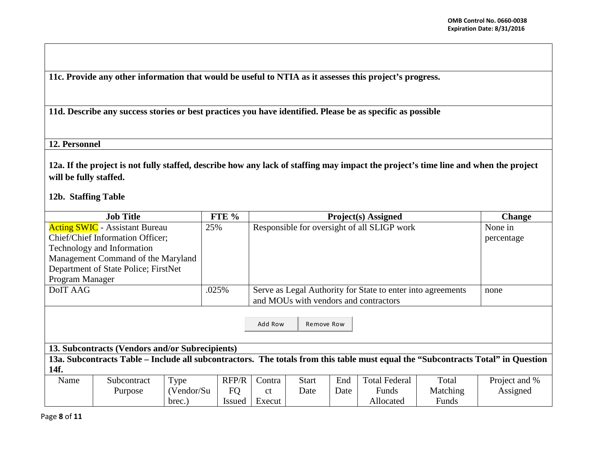**11c. Provide any other information that would be useful to NTIA as it assesses this project's progress.** 

**11d. Describe any success stories or best practices you have identified. Please be as specific as possible**

**12. Personnel** 

**12a. If the project is not fully staffed, describe how any lack of staffing may impact the project's time line and when the project will be fully staffed.**

**12b. Staffing Table**

| <b>Job Title</b>                                                                                                                 |                                                 |            | FTE %         | <b>Project(s)</b> Assigned                                  |              |      |                      | <b>Change</b> |               |
|----------------------------------------------------------------------------------------------------------------------------------|-------------------------------------------------|------------|---------------|-------------------------------------------------------------|--------------|------|----------------------|---------------|---------------|
| <b>Acting SWIC</b> - Assistant Bureau                                                                                            |                                                 |            | 25%           | Responsible for oversight of all SLIGP work                 |              |      | None in              |               |               |
|                                                                                                                                  | Chief/Chief Information Officer;                |            |               |                                                             |              |      |                      |               | percentage    |
|                                                                                                                                  | Technology and Information                      |            |               |                                                             |              |      |                      |               |               |
|                                                                                                                                  | Management Command of the Maryland              |            |               |                                                             |              |      |                      |               |               |
|                                                                                                                                  | Department of State Police; FirstNet            |            |               |                                                             |              |      |                      |               |               |
| Program Manager                                                                                                                  |                                                 |            |               |                                                             |              |      |                      |               |               |
| DoIT AAG                                                                                                                         |                                                 |            | .025%         | Serve as Legal Authority for State to enter into agreements | none         |      |                      |               |               |
|                                                                                                                                  |                                                 |            |               | and MOUs with vendors and contractors                       |              |      |                      |               |               |
|                                                                                                                                  | Add Row<br>Remove Row                           |            |               |                                                             |              |      |                      |               |               |
|                                                                                                                                  | 13. Subcontracts (Vendors and/or Subrecipients) |            |               |                                                             |              |      |                      |               |               |
| 13a. Subcontracts Table – Include all subcontractors. The totals from this table must equal the "Subcontracts Total" in Question |                                                 |            |               |                                                             |              |      |                      |               |               |
| 14f.                                                                                                                             |                                                 |            |               |                                                             |              |      |                      |               |               |
| Name                                                                                                                             | Subcontract                                     | Type       | RFP/R         | Contra                                                      | <b>Start</b> | End  | <b>Total Federal</b> | Total         | Project and % |
|                                                                                                                                  | Purpose                                         | (Vendor/Su | FQ            | <sub>ct</sub>                                               | Date         | Date | Funds                | Matching      | Assigned      |
|                                                                                                                                  |                                                 | brec.)     | <b>Issued</b> | Execut                                                      |              |      | Allocated            | Funds         |               |

Page **8** of **11**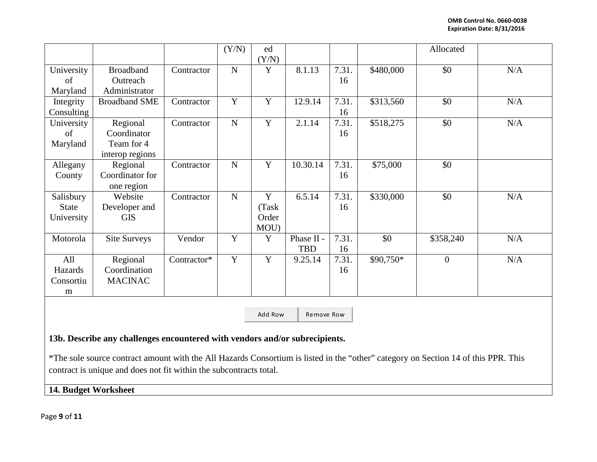|                                         |                                                          |             | (Y/N)          | ed<br>(Y/N)                  |                          |             |           | Allocated      |     |
|-----------------------------------------|----------------------------------------------------------|-------------|----------------|------------------------------|--------------------------|-------------|-----------|----------------|-----|
| University<br>of<br>Maryland            | <b>Broadband</b><br>Outreach<br>Administrator            | Contractor  | $\mathbf N$    | Y                            | 8.1.13                   | 7.31.<br>16 | \$480,000 | \$0            | N/A |
| Integrity<br>Consulting                 | <b>Broadband SME</b>                                     | Contractor  | $\overline{Y}$ | Y                            | 12.9.14                  | 7.31.<br>16 | \$313,560 | \$0            | N/A |
| University<br>of<br>Maryland            | Regional<br>Coordinator<br>Team for 4<br>interop regions | Contractor  | ${\bf N}$      | Y                            | 2.1.14                   | 7.31.<br>16 | \$518,275 | \$0            | N/A |
| Allegany<br>County                      | Regional<br>Coordinator for<br>one region                | Contractor  | $\mathbf N$    | Y                            | 10.30.14                 | 7.31.<br>16 | \$75,000  | \$0            |     |
| Salisbury<br><b>State</b><br>University | Website<br>Developer and<br><b>GIS</b>                   | Contractor  | ${\bf N}$      | Y<br>(Task)<br>Order<br>MOU) | 6.5.14                   | 7.31.<br>16 | \$330,000 | \$0            | N/A |
| Motorola                                | <b>Site Surveys</b>                                      | Vendor      | Y              | Y                            | Phase II -<br><b>TBD</b> | 7.31.<br>16 | \$0       | \$358,240      | N/A |
| All<br>Hazards<br>Consortiu<br>m        | Regional<br>Coordination<br><b>MACINAC</b>               | Contractor* | Y              | Y                            | 9.25.14                  | 7.31.<br>16 | \$90,750* | $\overline{0}$ | N/A |
|                                         | Add Row<br>Remove Row                                    |             |                |                              |                          |             |           |                |     |

# **13b. Describe any challenges encountered with vendors and/or subrecipients.**

\*The sole source contract amount with the All Hazards Consortium is listed in the "other" category on Section 14 of this PPR. This contract is unique and does not fit within the subcontracts total.

#### **14. Budget Worksheet**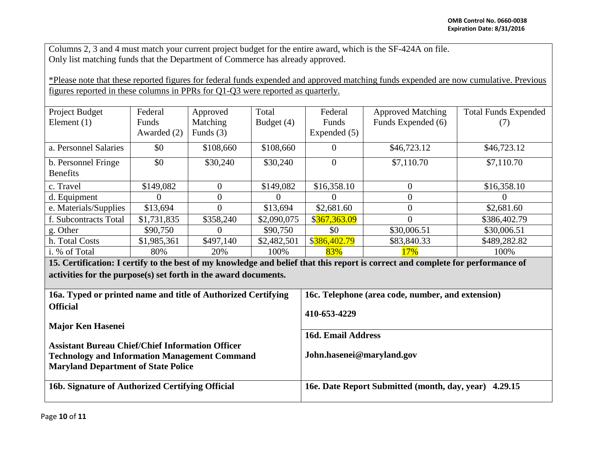Columns 2, 3 and 4 must match your current project budget for the entire award, which is the SF-424A on file. Only list matching funds that the Department of Commerce has already approved.

\*Please note that these reported figures for federal funds expended and approved matching funds expended are now cumulative. Previous figures reported in these columns in PPRs for Q1-Q3 were reported as quarterly.

| Project Budget                                                                                                                  | Federal     | Approved    | Total       | Federal      | <b>Approved Matching</b> | <b>Total Funds Expended</b> |  |  |
|---------------------------------------------------------------------------------------------------------------------------------|-------------|-------------|-------------|--------------|--------------------------|-----------------------------|--|--|
| Element $(1)$                                                                                                                   | Funds       | Matching    | Budget (4)  | Funds        | Funds Expended (6)       |                             |  |  |
|                                                                                                                                 | Awarded (2) | Funds $(3)$ |             | Expended (5) |                          |                             |  |  |
| a. Personnel Salaries                                                                                                           | \$0         | \$108,660   | \$108,660   | $\theta$     | \$46,723.12              | \$46,723.12                 |  |  |
| b. Personnel Fringe                                                                                                             | \$0         | \$30,240    | \$30,240    | $\Omega$     | \$7,110.70               | \$7,110.70                  |  |  |
| <b>Benefits</b>                                                                                                                 |             |             |             |              |                          |                             |  |  |
| c. Travel                                                                                                                       | \$149,082   | $\Omega$    | \$149,082   | \$16,358.10  | $\Omega$                 | \$16,358.10                 |  |  |
| d. Equipment                                                                                                                    | $\theta$    | $\Omega$    | $\Omega$    | $\theta$     | $\Omega$                 | $\mathbf{\Omega}$           |  |  |
| e. Materials/Supplies                                                                                                           | \$13,694    | $\Omega$    | \$13,694    | \$2,681.60   | $\theta$                 | \$2,681.60                  |  |  |
| f. Subcontracts Total                                                                                                           | \$1,731,835 | \$358,240   | \$2,090,075 | \$367,363.09 | $\Omega$                 | \$386,402.79                |  |  |
| g. Other                                                                                                                        | \$90,750    |             | \$90,750    | \$0          | \$30,006.51              | \$30,006.51                 |  |  |
| h. Total Costs                                                                                                                  | \$1,985,361 | \$497,140   | \$2,482,501 | \$386,402.79 | \$83,840.33              | \$489,282.82                |  |  |
| i. % of Total                                                                                                                   | 80%         | 20%         | 100%        | 83%          | 17%                      | 100%                        |  |  |
| 15. Certification: I certify to the best of my knowledge and belief that this report is correct and complete for performance of |             |             |             |              |                          |                             |  |  |

**activities for the purpose(s) set forth in the award documents.**

| 16a. Typed or printed name and title of Authorized Certifying | 16c. Telephone (area code, number, and extension)     |
|---------------------------------------------------------------|-------------------------------------------------------|
| <b>Official</b>                                               |                                                       |
|                                                               | 410-653-4229                                          |
| <b>Major Ken Hasenei</b>                                      |                                                       |
|                                                               | 16d. Email Address                                    |
| <b>Assistant Bureau Chief/Chief Information Officer</b>       |                                                       |
| <b>Technology and Information Management Command</b>          | John.hasenei@maryland.gov                             |
| <b>Maryland Department of State Police</b>                    |                                                       |
|                                                               |                                                       |
| 16b. Signature of Authorized Certifying Official              | 16e. Date Report Submitted (month, day, year) 4.29.15 |
|                                                               |                                                       |